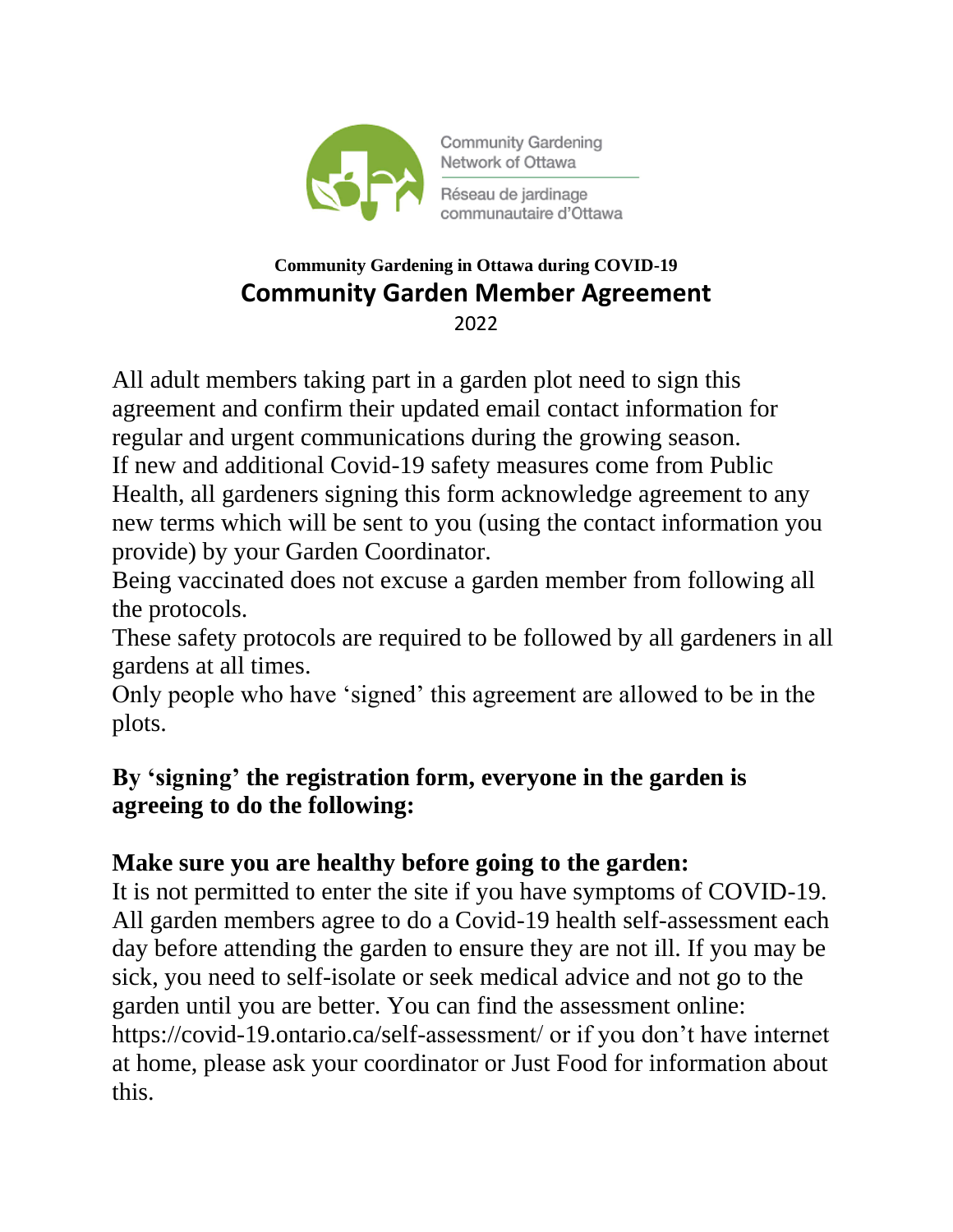

**Community Gardening** Network of Ottawa

Réseau de jardinage communautaire d'Ottawa

#### **Community Gardening in Ottawa during COVID-19 Community Garden Member Agreement** 2022

All adult members taking part in a garden plot need to sign this agreement and confirm their updated email contact information for regular and urgent communications during the growing season. If new and additional Covid-19 safety measures come from Public Health, all gardeners signing this form acknowledge agreement to any new terms which will be sent to you (using the contact information you provide) by your Garden Coordinator.

Being vaccinated does not excuse a garden member from following all the protocols.

These safety protocols are required to be followed by all gardeners in all gardens at all times.

Only people who have 'signed' this agreement are allowed to be in the plots.

# **By 'signing' the registration form, everyone in the garden is agreeing to do the following:**

### **Make sure you are healthy before going to the garden:**

It is not permitted to enter the site if you have symptoms of COVID-19. All garden members agree to do a Covid-19 health self-assessment each day before attending the garden to ensure they are not ill. If you may be sick, you need to self-isolate or seek medical advice and not go to the garden until you are better. You can find the assessment online: https://covid-19.ontario.ca/self-assessment/ or if you don't have internet at home, please ask your coordinator or Just Food for information about this.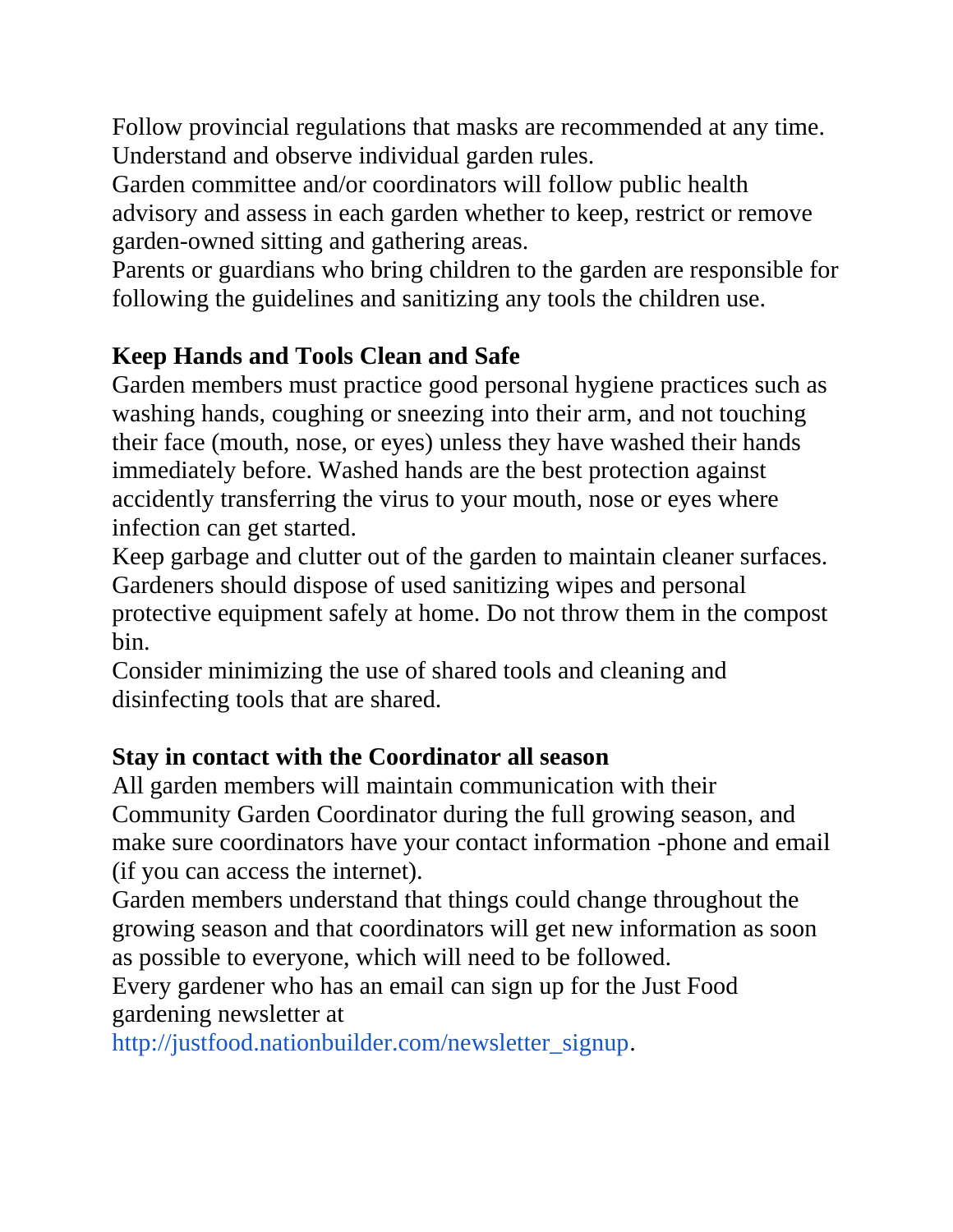Follow provincial regulations that masks are recommended at any time. Understand and observe individual garden rules.

Garden committee and/or coordinators will follow public health advisory and assess in each garden whether to keep, restrict or remove garden-owned sitting and gathering areas.

Parents or guardians who bring children to the garden are responsible for following the guidelines and sanitizing any tools the children use.

# **Keep Hands and Tools Clean and Safe**

Garden members must practice good personal hygiene practices such as washing hands, coughing or sneezing into their arm, and not touching their face (mouth, nose, or eyes) unless they have washed their hands immediately before. Washed hands are the best protection against accidently transferring the virus to your mouth, nose or eyes where infection can get started.

Keep garbage and clutter out of the garden to maintain cleaner surfaces. Gardeners should dispose of used sanitizing wipes and personal protective equipment safely at home. Do not throw them in the compost bin.

Consider minimizing the use of shared tools and cleaning and disinfecting tools that are shared.

# **Stay in contact with the Coordinator all season**

All garden members will maintain communication with their Community Garden Coordinator during the full growing season, and make sure coordinators have your contact information -phone and email (if you can access the internet).

Garden members understand that things could change throughout the growing season and that coordinators will get new information as soon as possible to everyone, which will need to be followed.

Every gardener who has an email can sign up for the Just Food gardening newsletter at

http://justfood.nationbuilder.com/newsletter\_signup.